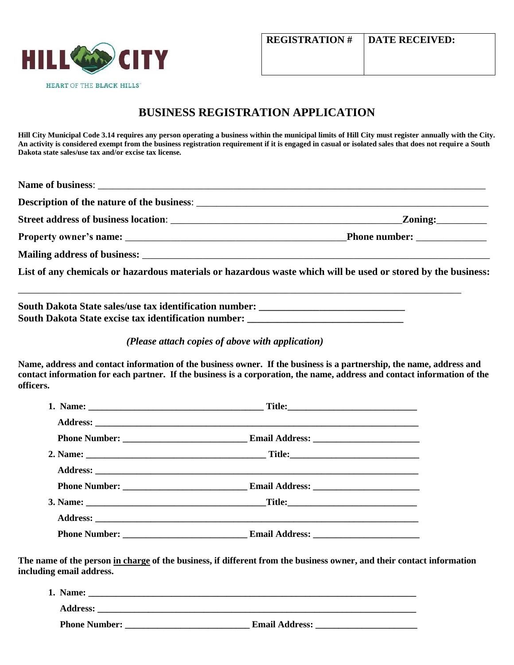

## **BUSINESS REGISTRATION APPLICATION**

**Hill City Municipal Code 3.14 requires any person operating a business within the municipal limits of Hill City must register annually with the City. An activity is considered exempt from the business registration requirement if it is engaged in casual or isolated sales that does not require a South Dakota state sales/use tax and/or excise tax license.**

| <b>Description of the nature of the business:</b> |                                                                                                               |
|---------------------------------------------------|---------------------------------------------------------------------------------------------------------------|
|                                                   | Zoning:                                                                                                       |
|                                                   |                                                                                                               |
|                                                   |                                                                                                               |
|                                                   | List of any chemicals or hazardous materials or hazardous waste which will be used or stored by the business: |
|                                                   |                                                                                                               |

**South Dakota State sales/use tax identification number: \_\_\_\_\_\_\_\_\_\_\_\_\_\_\_\_\_\_\_\_\_\_\_\_\_\_\_\_\_** South Dakota State excise tax identification number: *\_\_\_\_\_\_\_\_\_\_\_\_\_\_\_\_\_\_\_\_\_\_\_\_\_* 

 *(Please attach copies of above with application)*

**Name, address and contact information of the business owner. If the business is a partnership, the name, address and contact information for each partner. If the business is a corporation, the name, address and contact information of the officers.** 

**The name of the person in charge of the business, if different from the business owner, and their contact information including email address.**

| Name:                |                       |
|----------------------|-----------------------|
| <b>Address:</b>      |                       |
| <b>Phone Number:</b> | <b>Email Address:</b> |